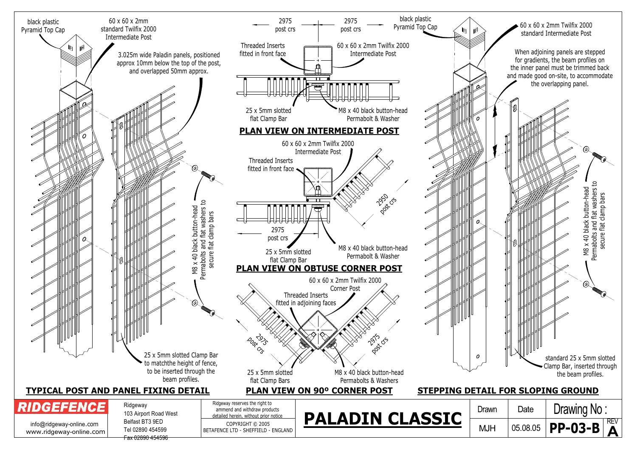